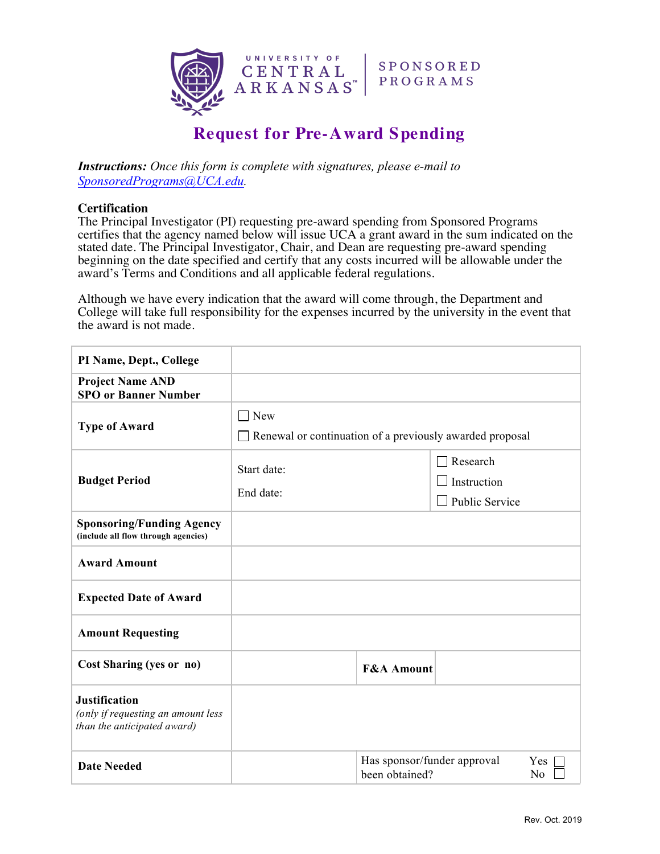

## **Request for Pre-Award Spending**

*Instructions: Once this form is complete with signatures, please e-mail to SponsoredPrograms@UCA.edu.* 

## **Certification**

The Principal Investigator (PI) requesting pre-award spending from Sponsored Programs certifies that the agency named below will issue UCA a grant award in the sum indicated on the stated date. The Principal Investigator, Chair, and Dean are requesting pre-award spending beginning on the date specified and certify that any costs incurred will be allowable under the award's Terms and Conditions and all applicable federal regulations.

Although we have every indication that the award will come through, the Department and College will take full responsibility for the expenses incurred by the university in the event that the award is not made.

| PI Name, Dept., College                                                                   |                                                                                   |                                                                   |                                                                |  |
|-------------------------------------------------------------------------------------------|-----------------------------------------------------------------------------------|-------------------------------------------------------------------|----------------------------------------------------------------|--|
| <b>Project Name AND</b><br><b>SPO or Banner Number</b>                                    |                                                                                   |                                                                   |                                                                |  |
| <b>Type of Award</b>                                                                      | New<br>$\blacksquare$<br>Renewal or continuation of a previously awarded proposal |                                                                   |                                                                |  |
| <b>Budget Period</b>                                                                      | Start date:<br>End date:                                                          |                                                                   | $\Box$ Research<br>$\Box$ Instruction<br>$\Box$ Public Service |  |
| <b>Sponsoring/Funding Agency</b><br>(include all flow through agencies)                   |                                                                                   |                                                                   |                                                                |  |
| <b>Award Amount</b>                                                                       |                                                                                   |                                                                   |                                                                |  |
| <b>Expected Date of Award</b>                                                             |                                                                                   |                                                                   |                                                                |  |
| <b>Amount Requesting</b>                                                                  |                                                                                   |                                                                   |                                                                |  |
| Cost Sharing (yes or no)                                                                  |                                                                                   | <b>F&amp;A Amount</b>                                             |                                                                |  |
| <b>Justification</b><br>(only if requesting an amount less<br>than the anticipated award) |                                                                                   |                                                                   |                                                                |  |
| <b>Date Needed</b>                                                                        |                                                                                   | Has sponsor/funder approval<br><b>Yes</b><br>been obtained?<br>No |                                                                |  |